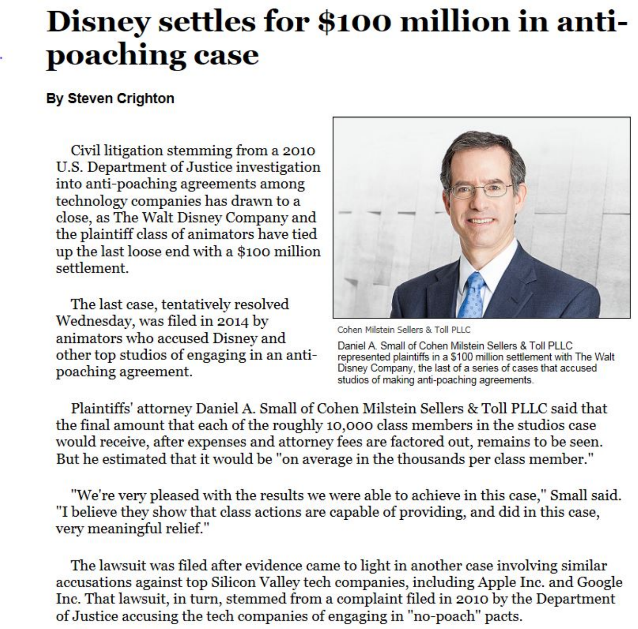## **Disney settles for \$100 million in antipoaching case**

## **By Steven Crighton**

Civil litigation stemming from a 2010 U.S. Department of Justice investigation into anti-poaching agreements among technology companies has drawn to a close, as The Walt Disney Company and the plaintiff class of animators have tied up the last loose end with a \$100 million settlement.

The last case, tentatively resolved Wednesday, was filed in 2014 by animators who accused Disney and other top studios of engaging in an antipoaching agreement.



Cohen Milstein Sellers & Toll PLLC

Daniel A. Small of Cohen Milstein Sellers & Toll PLLC represented plaintiffs in a \$100 million settlement with The Walt Disney Company, the last of a series of cases that accused studios of making anti-poaching agreements.

Plaintiffs' attorney Daniel A. Small of Cohen Milstein Sellers & Toll PLLC said that the final amount that each of the roughly 10,000 class members in the studios case would receive, after expenses and attorney fees are factored out, remains to be seen. But he estimated that it would be "on average in the thousands per class member."

"We're very pleased with the results we were able to achieve in this case," Small said. "I believe they show that class actions are capable of providing, and did in this case, very meaningful relief."

The lawsuit was filed after evidence came to light in another case involving similar accusations against top Silicon Valley tech companies, including Apple Inc. and Google Inc. That lawsuit, in turn, stemmed from a complaint filed in **2010** by the Department of Justice accusing the tech companies of engaging in "no-poach" pacts.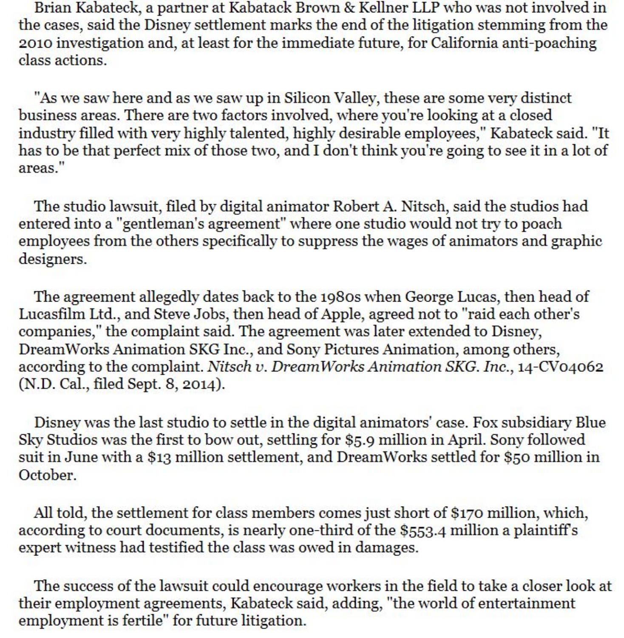Brian Kabateck, a partner at Kabatack Brown & Kellner LLP who was not involved in the cases, said the Disney settlement marks the end of the litigation stemming from the **2010** investigation and, at least for the immediate future, for California anti-poaching class actions.

"As we saw here and as we saw up in Silicon Valley, these are some very distinct business areas. There are two factors involved, where you're looking at a closed industry filled with very highly talented, highly desirable employees," Kabateck said. "It has to be that perfect mix of those two, and I don't think you're going to see it in a lot of areas."

The studio lawsuit, filed by digital animator Robert A. Nitsch, said the studios had entered into a "gentleman's agreement" where one studio would not try to poach employees from the others specifically to suppress the wages of animators and graphic designers.

The agreement allegedly dates back to the 198os when George Lucas, then head of Lucasfilm Ltd., and Steve Jobs, then head of Apple, agreed not to "raid each other's companies," the complaint said. The agreement was later extended to Disney, DreamWorks Animation SKG Inc., and Sony Pictures Animation, among others, according to the complaint. *Nitsch v. DreamWorks Animation SKG. Inc.,* 14-CVo4062 (N.D. Cal., filed Sept. 8, 2014).

Disney was the last studio to settle in the digital animators' case. Fox subsidiary Blue Sky Studios was the first to bow out, settling for \$5.9 million in April. Sony followed suit in June with a \$13 million settlement, and DreamWorks settled for \$5o million in October.

All told, the settlement for class members comes just short of \$170 million, which, according to court documents, is nearly one-third of the \$553.4 million a plaintiffs expert witness had testified the class was owed in damages.

The success of the lawsuit could encourage workers in the field to take a closer look at their employment agreements, Kabateck said, adding, "the world of entertainment employment is fertile" for future litigation.